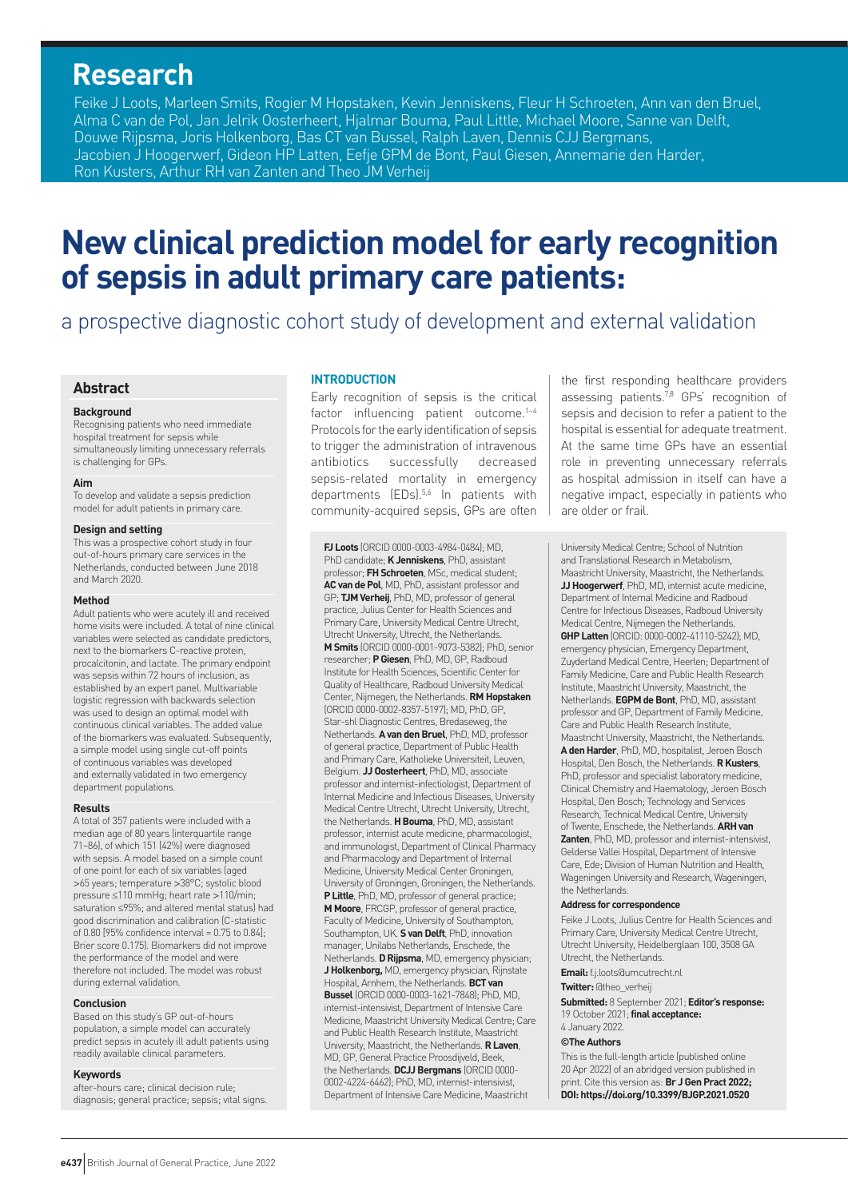# **Research**

Feike J Loots, Marleen Smits, Rogier M Hopstaken, Kevin Jenniskens, Fleur H Schroeten, Ann van den Bruel, Alma C van de Pol, Jan Jelrik Oosterheert, Hjalmar Bouma, Paul Little, Michael Moore, Sanne van Delft, Douwe Rijpsma, Joris Holkenborg, Bas CT van Bussel, Ralph Laven, Dennis CJJ Bergmans, Jacobien J Hoogerwerf, Gideon HP Latten, Eefje GPM de Bont, Paul Giesen, Annemarie den Harder, Ron Kusters, Arthur RH van Zanten and Theo JM Verheij

# **New clinical prediction model for early recognition of sepsis in adult primary care patients:**

a prospective diagnostic cohort study of development and external validation

# **Abstract**

#### **Background**

Recognising patients who need immediate hospital treatment for sepsis while simultaneously limiting unnecessary referrals is challenging for GPs.

#### **Aim**

To develop and validate a sepsis prediction model for adult patients in primary care.

#### **Design and setting**

This was a prospective cohort study in four out-of-hours primary care services in the Netherlands, conducted between June 2018 and March 2020.

#### **Method**

Adult patients who were acutely ill and received home visits were included. A total of nine clinical variables were selected as candidate predictors, next to the biomarkers C-reactive protein, procalcitonin, and lactate. The primary endpoint was sepsis within 72 hours of inclusion, as established by an expert panel. Multivariable logistic regression with backwards selection was used to design an optimal model with continuous clinical variables. The added value of the biomarkers was evaluated. Subsequently, a simple model using single cut-off points of continuous variables was developed and externally validated in two emergency department populations.

#### **Results**

A total of 357 patients were included with a median age of 80 years (interquartile range 71–86), of which 151 (42%) were diagnosed with sepsis. A model based on a simple count of one point for each of six variables (aged >65 years; temperature >38°C; systolic blood pressure ≤110 mmHg; heart rate >110/min; saturation ≤95%; and altered mental status) had good discrimination and calibration (C-statistic of 0.80 [95% confidence interval = 0.75 to 0.84] $\cdot$ Brier score 0.175). Biomarkers did not improve the performance of the model and were therefore not included. The model was robust during external validation.

#### **Conclusion**

Based on this study's GP out-of-hours population, a simple model can accurately predict sepsis in acutely ill adult patients using readily available clinical parameters.

#### **Keywords**

after-hours care; clinical decision rule; diagnosis; general practice; sepsis; vital signs.

#### **INTRODUCTION**

Early recognition of sepsis is the critical factor influencing patient outcome.<sup>1-4</sup> Protocols for the early identification of sepsis to trigger the administration of intravenous antibiotics successfully decreased sepsis-related mortality in emergency departments (EDs).<sup>5,6</sup> In patients with community-acquired sepsis, GPs are often

**FJ Loots** (ORCID 0000-0003-4984-0484); MD, PhD candidate; **K Jenniskens**, PhD, assistant professor; **FH Schroeten**, MSc, medical student; **AC van de Pol**, MD, PhD, assistant professor and GP; **TJM Verheij**, PhD, MD, professor of general practice, Julius Center for Health Sciences and Primary Care, University Medical Centre Utrecht, Utrecht University, Utrecht, the Netherlands. **M Smits** (ORCID 0000-0001-9073-5382); PhD, senior researcher; **P Giesen**, PhD, MD, GP, Radboud Institute for Health Sciences, Scientific Center for Quality of Healthcare, Radboud University Medical Center, Nijmegen, the Netherlands. **RM Hopstaken** (ORCID 0000-0002-8357-5197); MD, PhD, GP, Star-shl Diagnostic Centres, Bredaseweg, the Netherlands. **A van den Bruel**, PhD, MD, professor of general practice, Department of Public Health and Primary Care, Katholieke Universiteit, Leuven, Belgium. **JJ Oosterheert**, PhD, MD, associate professor and internist-infectiologist, Department of Internal Medicine and Infectious Diseases, University Medical Centre Utrecht, Utrecht University, Utrecht, the Netherlands. **H Bouma**, PhD, MD, assistant professor, internist acute medicine, pharmacologist, and immunologist, Department of Clinical Pharmacy and Pharmacology and Department of Internal Medicine, University Medical Center Groningen, University of Groningen, Groningen, the Netherlands. **P Little**, PhD, MD, professor of general practice; **M Moore**, FRCGP, professor of general practice, Faculty of Medicine, University of Southampton, Southampton, UK. **S van Delft**, PhD, innovation manager, Unilabs Netherlands, Enschede, the Netherlands. **DRijpsma**, MD, emergency physician; **J Holkenborg,** MD, emergency physician, Rijnstate Hospital, Arnhem, the Netherlands. **BCT van Bussel** (ORCID 0000-0003-1621-7848); PhD, MD, internist-intensivist, Department of Intensive Care Medicine, Maastricht University Medical Centre; Care and Public Health Research Institute, Maastricht University, Maastricht, the Netherlands. **R Laven**, MD, GP, General Practice Proosdijveld, Beek, the Netherlands. **DCJJ Bergmans** (ORCID 0000- 0002-4224-6462); PhD, MD, internist-intensivist, Department of Intensive Care Medicine, Maastricht

the first responding healthcare providers assessing patients.<sup>7,8</sup> GPs' recognition of sepsis and decision to refer a patient to the hospital is essential for adequate treatment. At the same time GPs have an essential role in preventing unnecessary referrals as hospital admission in itself can have a negative impact, especially in patients who are older or frail.

University Medical Centre; School of Nutrition and Translational Research in Metabolism, Maastricht University, Maastricht, the Netherlands. **JJ Hoogerwerf**, PhD, MD, internist acute medicine, Department of Internal Medicine and Radboud Centre for Infectious Diseases, Radboud University Medical Centre, Nijmegen the Netherlands. **GHPLatten** (ORCID: 0000-0002-41110-5242); MD, emergency physician, Emergency Department, Zuyderland Medical Centre, Heerlen; Department of Family Medicine, Care and Public Health Research Institute, Maastricht University, Maastricht, the Netherlands. **EGPM de Bont**, PhD, MD, assistant professor and GP, Department of Family Medicine, Care and Public Health Research Institute, Maastricht University, Maastricht, the Netherlands. **A den Harder**, PhD, MD, hospitalist, Jeroen Bosch Hospital, Den Bosch, the Netherlands. **R Kusters**, PhD, professor and specialist laboratory medicine, Clinical Chemistry and Haematology, Jeroen Bosch Hospital, Den Bosch; Technology and Services Research, Technical Medical Centre, University of Twente, Enschede, the Netherlands. **ARH van Zanten**, PhD, MD, professor and internist-intensivist, Gelderse Vallei Hospital, Department of Intensive Care, Ede; Division of Human Nutrition and Health, Wageningen University and Research, Wageningen, the Netherlands.

#### **Address for correspondence**

Feike J Loots, Julius Centre for Health Sciences and Primary Care, University Medical Centre Utrecht, Utrecht University, Heidelberglaan 100, 3508 GA Utrecht, the Netherlands.

**Email:** [f.j.loots@umcutrecht.nl](mailto:f.j.loots@umcutrecht.nl)

# **Twitter:** @theo\_verheij

**Submitted:** 8 September 2021; **Editor's response:** 19 October 2021; **final acceptance:** 

#### 4 January 2022. **©The Authors**

This is the full-length article (published online 20 Apr 2022) of an abridged version published in print. Cite this version as: **Br J Gen Pract 2022; DOI: <https://doi.org/10.3399/BJGP.2021.0520>**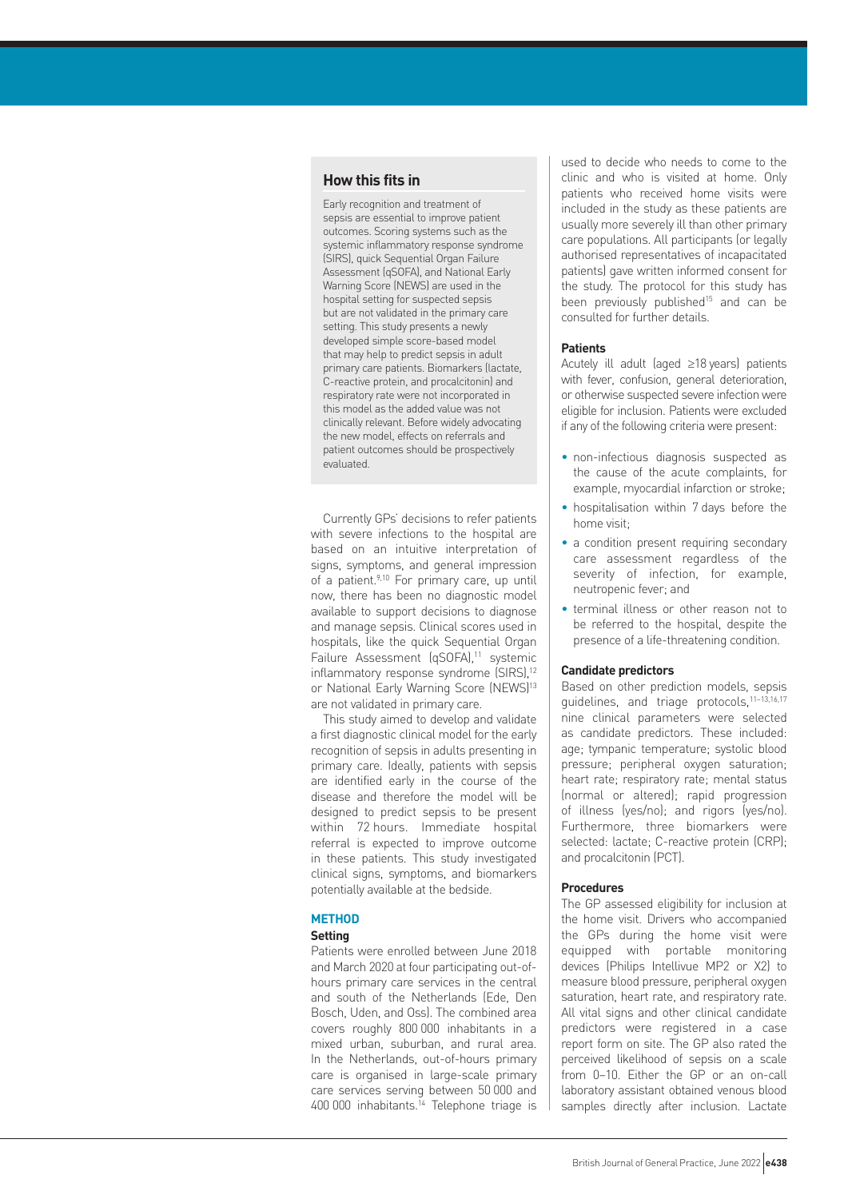# **How this fits in**

Early recognition and treatment of sepsis are essential to improve patient outcomes. Scoring systems such as the systemic inflammatory response syndrome (SIRS), quick Sequential Organ Failure Assessment (qSOFA), and National Early Warning Score (NEWS) are used in the hospital setting for suspected sepsis but are not validated in the primary care setting. This study presents a newly developed simple score-based model that may help to predict sepsis in adult primary care patients. Biomarkers (lactate, C-reactive protein, and procalcitonin) and respiratory rate were not incorporated in this model as the added value was not clinically relevant. Before widely advocating the new model, effects on referrals and patient outcomes should be prospectively evaluated.

Currently GPs' decisions to refer patients with severe infections to the hospital are based on an intuitive interpretation of signs, symptoms, and general impression of a patient.<sup>9,10</sup> For primary care, up until now, there has been no diagnostic model available to support decisions to diagnose and manage sepsis. Clinical scores used in hospitals, like the quick Sequential Organ Failure Assessment (qSOFA),<sup>11</sup> systemic inflammatory response syndrome (SIRS),<sup>12</sup> or National Early Warning Score (NEWS)<sup>13</sup> are not validated in primary care.

This study aimed to develop and validate a first diagnostic clinical model for the early recognition of sepsis in adults presenting in primary care. Ideally, patients with sepsis are identified early in the course of the disease and therefore the model will be designed to predict sepsis to be present within 72 hours. Immediate hospital referral is expected to improve outcome in these patients. This study investigated clinical signs, symptoms, and biomarkers potentially available at the bedside.

#### **METHOD**

#### **Setting**

Patients were enrolled between June 2018 and March 2020 at four participating out-ofhours primary care services in the central and south of the Netherlands (Ede, Den Bosch, Uden, and Oss). The combined area covers roughly 800 000 inhabitants in a mixed urban, suburban, and rural area. In the Netherlands, out-of-hours primary care is organised in large-scale primary care services serving between 50 000 and 400 000 inhabitants.14 Telephone triage is

used to decide who needs to come to the clinic and who is visited at home. Only patients who received home visits were included in the study as these patients are usually more severely ill than other primary care populations. All participants (or legally authorised representatives of incapacitated patients) gave written informed consent for the study. The protocol for this study has been previously published<sup>15</sup> and can be consulted for further details.

## **Patients**

Acutely ill adult (aged ≥18 years) patients with fever, confusion, general deterioration, or otherwise suspected severe infection were eligible for inclusion. Patients were excluded if any of the following criteria were present:

- non-infectious diagnosis suspected as the cause of the acute complaints, for example, myocardial infarction or stroke;
- hospitalisation within 7 days before the home visit;
- a condition present requiring secondary care assessment regardless of the severity of infection, for example, neutropenic fever; and
- terminal illness or other reason not to be referred to the hospital, despite the presence of a life-threatening condition.

## **Candidate predictors**

Based on other prediction models, sepsis guidelines, and triage protocols,<sup>11-13,16,17</sup> nine clinical parameters were selected as candidate predictors. These included: age; tympanic temperature; systolic blood pressure; peripheral oxygen saturation; heart rate; respiratory rate; mental status (normal or altered); rapid progression of illness (yes/no); and rigors (yes/no). Furthermore, three biomarkers were selected: lactate; C-reactive protein (CRP); and procalcitonin (PCT).

#### **Procedures**

The GP assessed eligibility for inclusion at the home visit. Drivers who accompanied the GPs during the home visit were equipped with portable monitoring devices (Philips Intellivue MP2 or X2) to measure blood pressure, peripheral oxygen saturation, heart rate, and respiratory rate. All vital signs and other clinical candidate predictors were registered in a case report form on site. The GP also rated the perceived likelihood of sepsis on a scale from 0–10. Either the GP or an on-call laboratory assistant obtained venous blood samples directly after inclusion. Lactate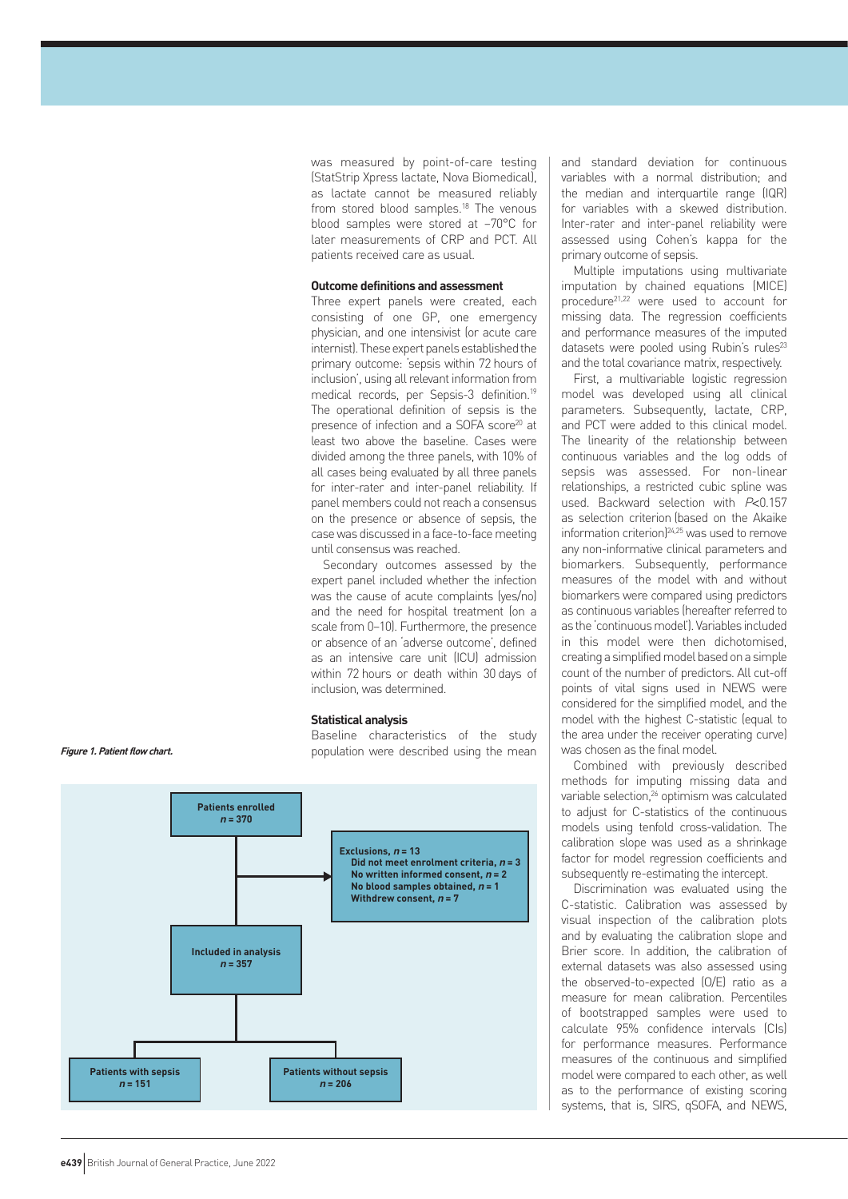was measured by point-of-care testing (StatStrip Xpress lactate, Nova Biomedical), as lactate cannot be measured reliably from stored blood samples.<sup>18</sup> The venous blood samples were stored at –70°C for later measurements of CRP and PCT. All patients received care as usual.

#### **Outcome definitions and assessment**

Three expert panels were created, each consisting of one GP, one emergency physician, and one intensivist (or acute care internist). These expert panels established the primary outcome: 'sepsis within 72 hours of inclusion', using all relevant information from medical records, per Sepsis-3 definition.19 The operational definition of sepsis is the presence of infection and a SOFA score<sup>20</sup> at least two above the baseline. Cases were divided among the three panels, with 10% of all cases being evaluated by all three panels for inter-rater and inter-panel reliability. If panel members could not reach a consensus on the presence or absence of sepsis, the case was discussed in a face-to-face meeting until consensus was reached.

Secondary outcomes assessed by the expert panel included whether the infection was the cause of acute complaints (yes/no) and the need for hospital treatment (on a scale from 0–10). Furthermore, the presence or absence of an 'adverse outcome', defined as an intensive care unit (ICU) admission within 72 hours or death within 30 days of inclusion, was determined.

#### **Statistical analysis**

Baseline characteristics of the study population were described using the mean



and standard deviation for continuous variables with a normal distribution; and the median and interquartile range (IQR) for variables with a skewed distribution. Inter-rater and inter-panel reliability were assessed using Cohen's kappa for the primary outcome of sepsis.

Multiple imputations using multivariate imputation by chained equations (MICE) procedure21,22 were used to account for missing data. The regression coefficients and performance measures of the imputed datasets were pooled using Rubin's rules<sup>23</sup> and the total covariance matrix, respectively.

First, a multivariable logistic regression model was developed using all clinical parameters. Subsequently, lactate, CRP, and PCT were added to this clinical model. The linearity of the relationship between continuous variables and the log odds of sepsis was assessed. For non-linear relationships, a restricted cubic spline was used. Backward selection with P<0.157 as selection criterion (based on the Akaike information criterion)24,25 was used to remove any non-informative clinical parameters and biomarkers. Subsequently, performance measures of the model with and without biomarkers were compared using predictors as continuous variables (hereafter referred to as the 'continuous model'). Variables included in this model were then dichotomised, creating a simplified model based on a simple count of the number of predictors. All cut-off points of vital signs used in NEWS were considered for the simplified model, and the model with the highest C-statistic (equal to the area under the receiver operating curve) was chosen as the final model.

Combined with previously described methods for imputing missing data and variable selection,<sup>26</sup> optimism was calculated to adjust for C-statistics of the continuous models using tenfold cross-validation. The calibration slope was used as a shrinkage factor for model regression coefficients and subsequently re-estimating the intercept.

Discrimination was evaluated using the C-statistic. Calibration was assessed by visual inspection of the calibration plots and by evaluating the calibration slope and Brier score. In addition, the calibration of external datasets was also assessed using the observed-to-expected (O/E) ratio as a measure for mean calibration. Percentiles of bootstrapped samples were used to calculate 95% confidence intervals (CIs) for performance measures. Performance measures of the continuous and simplified model were compared to each other, as well as to the performance of existing scoring systems, that is, SIRS, qSOFA, and NEWS,

#### **Figure 1. Patient flow chart.**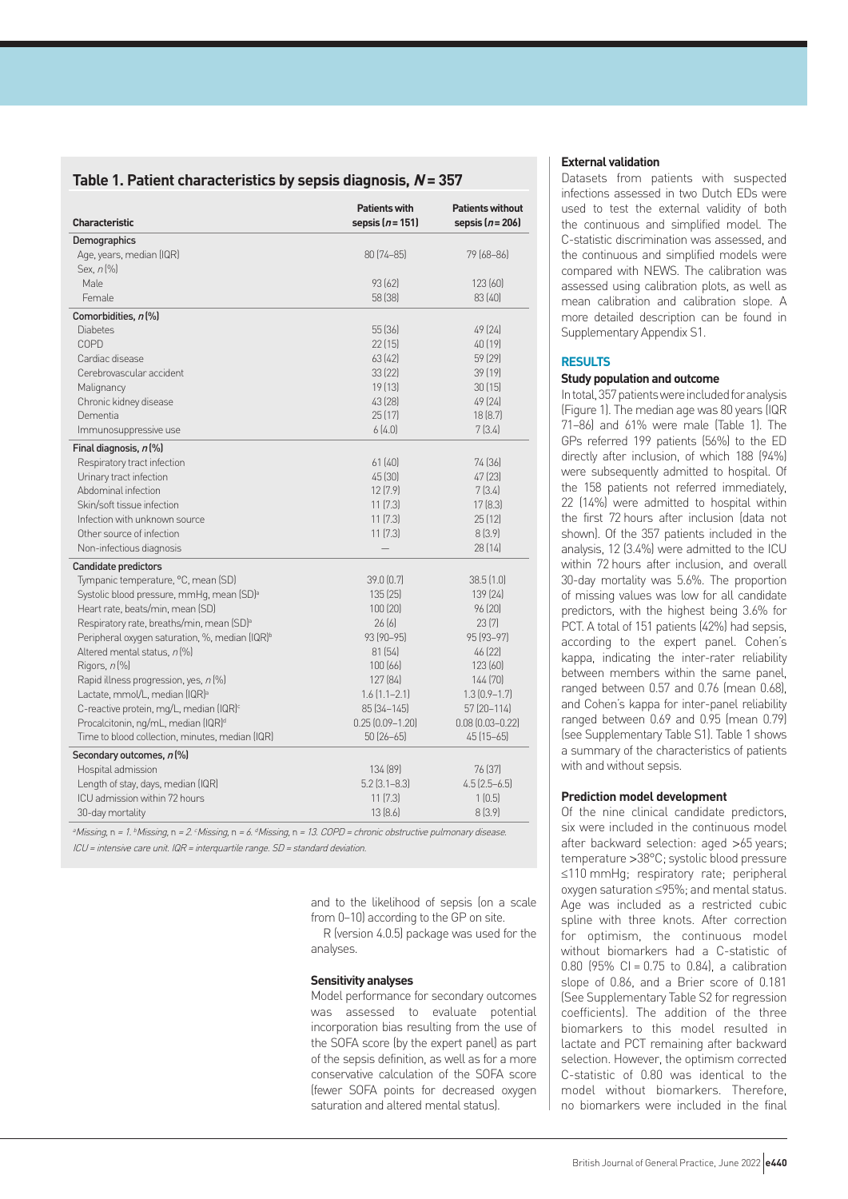# **Table 1. Patient characteristics by sepsis diagnosis, N = 357**

| <b>Characteristic</b>                                      | <b>Patients with</b><br>sepsis ( <i>n</i> = 151) | <b>Patients without</b><br>sepsis $(n=206)$ |
|------------------------------------------------------------|--------------------------------------------------|---------------------------------------------|
| Demographics                                               |                                                  |                                             |
| Age, years, median (IQR)                                   | $80(74 - 85)$                                    | 79 (68–86)                                  |
| Sex, $n$ [%]                                               |                                                  |                                             |
| Male                                                       | 93 [62]                                          | 123(60)                                     |
| Female                                                     | 58 [38]                                          | 83(40)                                      |
| Comorbidities, n(%)                                        |                                                  |                                             |
| <b>Diabetes</b>                                            | 55 (36)                                          | 49 (24)                                     |
| COPD                                                       | 22[15]                                           | 40 [19]                                     |
| Cardiac disease                                            | 63(42)                                           | 59 (29)                                     |
| Cerebrovascular accident                                   | 33(22)                                           | 39(19)                                      |
| Malignancy                                                 | 19(13)                                           | 30(15)                                      |
| Chronic kidney disease                                     | 43 (28)                                          | 49 (24)                                     |
| Dementia                                                   | 25 (17)                                          | 18(8.7)                                     |
| Immunosuppressive use                                      | 6(4.0)                                           | 7 (3.4)                                     |
| Final diagnosis, n(%)                                      |                                                  |                                             |
| Respiratory tract infection                                | 61(40)                                           | 74 (36)                                     |
| Urinary tract infection                                    | 45 (30)                                          | 47 (23)                                     |
| Abdominal infection                                        | 12(7.9)                                          | 7(3.4)                                      |
| Skin/soft tissue infection                                 | 11(7.3)                                          | 17(8.3)                                     |
| Infection with unknown source                              | 11(7.3)                                          | 25(12)                                      |
| Other source of infection                                  | 11(7.3)                                          | 8(3.9)                                      |
| Non-infectious diagnosis                                   |                                                  | 28(14)                                      |
| <b>Candidate predictors</b>                                |                                                  |                                             |
| Tympanic temperature, °C, mean (SD)                        | 39.0(0.7)                                        | 38.5(1.0)                                   |
| Systolic blood pressure, mmHq, mean (SD) <sup>a</sup>      | 135(25)                                          | 139 (24)                                    |
| Heart rate, beats/min, mean (SD)                           | 100(20)                                          | 96(20)                                      |
| Respiratory rate, breaths/min, mean (SD) <sup>a</sup>      | 26(6)                                            | 23(7)                                       |
| Peripheral oxygen saturation, %, median (IQR) <sup>b</sup> | $93(90 - 95)$                                    | 95 (93-97)                                  |
| Altered mental status, n [%]                               | 81(54)                                           | 46 (22)                                     |
| Rigors, $n$ $%$                                            | 100(66)                                          | 123(60)                                     |
| Rapid illness progression, yes, n (%)                      | 127 (84)                                         | 144 (70)                                    |
| Lactate, mmol/L, median (IQR) <sup>a</sup>                 | $1.6(1.1 - 2.1)$                                 | $1.3(0.9-1.7)$                              |
| C-reactive protein, mg/L, median (IQR) <sup>c</sup>        | $85[34 - 145]$                                   | 57 (20-114)                                 |
| Procalcitonin, ng/mL, median (IQR) <sup>d</sup>            | $0.25(0.09 - 1.20)$                              | $0.08(0.03 - 0.22)$                         |
| Time to blood collection, minutes, median (IQR)            | 50 (26–65)                                       | $45(15-65)$                                 |
| Secondary outcomes, n(%)                                   |                                                  |                                             |
| Hospital admission                                         | 134 (89)                                         | 76 (37)                                     |
| Length of stay, days, median (IQR)                         | $5.2$ $(3.1 - 8.3)$                              | $4.5$ $(2.5-6.5)$                           |
| ICU admission within 72 hours                              | 11(7.3)                                          | 1(0.5)                                      |
| 30-day mortality                                           | 13(8.6)                                          | 8(3.9)                                      |
|                                                            |                                                  |                                             |

aMissing, n = 1. bMissing, n = 2. cMissing, n = 6. dMissing, n = 13. COPD = chronic obstructive pulmonary disease. ICU <sup>=</sup> intensive care unit. IQR <sup>=</sup> interquartile range. SD <sup>=</sup> standard deviation.

> and to the likelihood of sepsis (on a scale from 0–10) according to the GP on site.

> R (version 4.0.5) package was used for the analyses.

## **Sensitivity analyses**

Model performance for secondary outcomes was assessed to evaluate potential incorporation bias resulting from the use of the SOFA score (by the expert panel) as part of the sepsis definition, as well as for a more conservative calculation of the SOFA score (fewer SOFA points for decreased oxygen saturation and altered mental status).

#### **External validation**

Datasets from patients with suspected infections assessed in two Dutch EDs were used to test the external validity of both the continuous and simplified model. The C-statistic discrimination was assessed, and the continuous and simplified models were compared with NEWS. The calibration was assessed using calibration plots, as well as mean calibration and calibration slope. A more detailed description can be found in Supplementary Appendix S1.

#### **RESULTS**

#### **Study population and outcome**

In total, 357 patients were included for analysis (Figure 1). The median age was 80 years (IQR 71–86) and 61% were male (Table 1). The GPs referred 199 patients (56%) to the ED directly after inclusion, of which 188 (94%) were subsequently admitted to hospital. Of the 158 patients not referred immediately, 22 (14%) were admitted to hospital within the first 72 hours after inclusion (data not shown). Of the 357 patients included in the analysis, 12 (3.4%) were admitted to the ICU within 72 hours after inclusion, and overall 30-day mortality was 5.6%. The proportion of missing values was low for all candidate predictors, with the highest being 3.6% for PCT. A total of 151 patients (42%) had sepsis, according to the expert panel. Cohen's kappa, indicating the inter-rater reliability between members within the same panel, ranged between 0.57 and 0.76 (mean 0.68), and Cohen's kappa for inter-panel reliability ranged between 0.69 and 0.95 (mean 0.79) (see Supplementary Table S1). Table 1 shows a summary of the characteristics of patients with and without sepsis.

## **Prediction model development**

Of the nine clinical candidate predictors, six were included in the continuous model after backward selection: aged >65 years; temperature >38°C; systolic blood pressure ≤110 mmHg; respiratory rate; peripheral oxygen saturation ≤95%; and mental status. Age was included as a restricted cubic spline with three knots. After correction for optimism, the continuous model without biomarkers had a C-statistic of 0.80 (95% CI =  $0.75$  to 0.84), a calibration slope of 0.86, and a Brier score of 0.181 (See Supplementary Table S2 for regression coefficients). The addition of the three biomarkers to this model resulted in lactate and PCT remaining after backward selection. However, the optimism corrected C-statistic of 0.80 was identical to the model without biomarkers. Therefore, no biomarkers were included in the final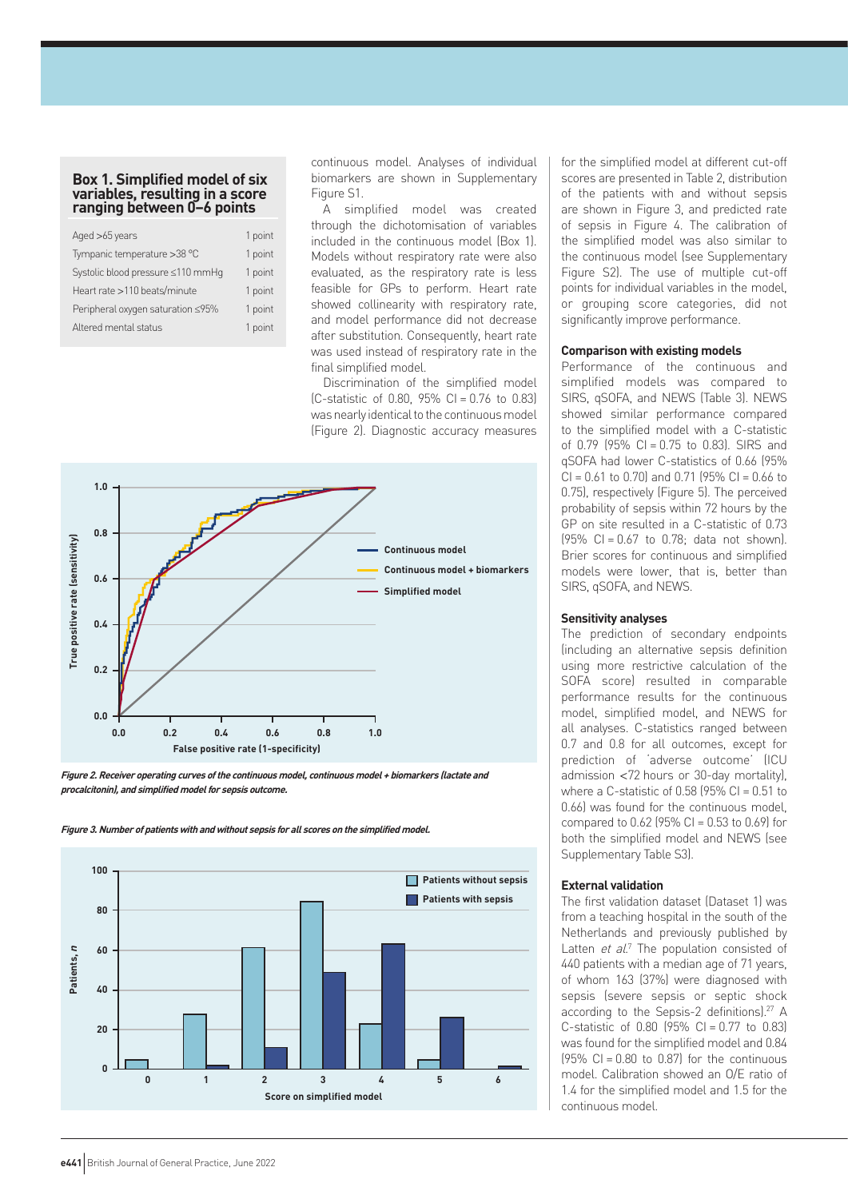## **Box 1. Simplified model of six variables, resulting in a score ranging between 0–6 points**

| 1 point |
|---------|
| 1 point |
| 1 point |
| 1 point |
| 1 point |
| 1 point |
|         |

continuous model. Analyses of individual biomarkers are shown in Supplementary Figure S1.

A simplified model was created through the dichotomisation of variables included in the continuous model (Box 1). Models without respiratory rate were also evaluated, as the respiratory rate is less feasible for GPs to perform. Heart rate showed collinearity with respiratory rate, and model performance did not decrease after substitution. Consequently, heart rate was used instead of respiratory rate in the final simplified model.

Discrimination of the simplified model (C-statistic of 0.80, 95% CI = 0.76 to 0.83) was nearly identical to the continuous model (Figure 2). Diagnostic accuracy measures



**Figure 2. Receiver operating curves of the continuous model, continuous model + biomarkers (lactate and procalcitonin), and simplified model for sepsis outcome.** 





for the simplified model at different cut-off scores are presented in Table 2, distribution of the patients with and without sepsis are shown in Figure 3, and predicted rate of sepsis in Figure 4. The calibration of the simplified model was also similar to the continuous model (see Supplementary Figure S2). The use of multiple cut-off points for individual variables in the model, or grouping score categories, did not significantly improve performance.

#### **Comparison with existing models**

Performance of the continuous and simplified models was compared to SIRS, qSOFA, and NEWS (Table 3). NEWS showed similar performance compared to the simplified model with a C-statistic of 0.79 (95% CI = 0.75 to 0.83). SIRS and qSOFA had lower C-statistics of 0.66 (95%  $CI = 0.61$  to 0.70) and 0.71 (95%  $CI = 0.66$  to 0.75), respectively (Figure 5). The perceived probability of sepsis within 72 hours by the GP on site resulted in a C-statistic of 0.73  $(95\% \text{ C} = 0.67 \text{ to } 0.78; \text{ data not shown}).$ Brier scores for continuous and simplified models were lower, that is, better than SIRS, qSOFA, and NEWS.

#### **Sensitivity analyses**

The prediction of secondary endpoints (including an alternative sepsis definition using more restrictive calculation of the SOFA score) resulted in comparable performance results for the continuous model, simplified model, and NEWS for all analyses. C-statistics ranged between 0.7 and 0.8 for all outcomes, except for prediction of 'adverse outcome' (ICU admission <72 hours or 30-day mortality), where a C-statistic of 0.58 (95% CI =  $0.51$  to 0.66) was found for the continuous model, compared to  $0.62$  (95% CI =  $0.53$  to  $0.69$ ) for both the simplified model and NEWS (see Supplementary Table S3).

#### **External validation**

The first validation dataset (Dataset 1) was from a teaching hospital in the south of the Netherlands and previously published by Latten et al.<sup>7</sup> The population consisted of 440 patients with a median age of 71 years, of whom 163 (37%) were diagnosed with sepsis (severe sepsis or septic shock according to the Sepsis-2 definitionsl.<sup>27</sup> A C-statistic of  $0.80$  (95% CI =  $0.77$  to  $0.83$ ) was found for the simplified model and 0.84  $(95\% \text{ C}) = 0.80$  to 0.87) for the continuous model. Calibration showed an O/E ratio of 1.4 for the simplified model and 1.5 for the continuous model.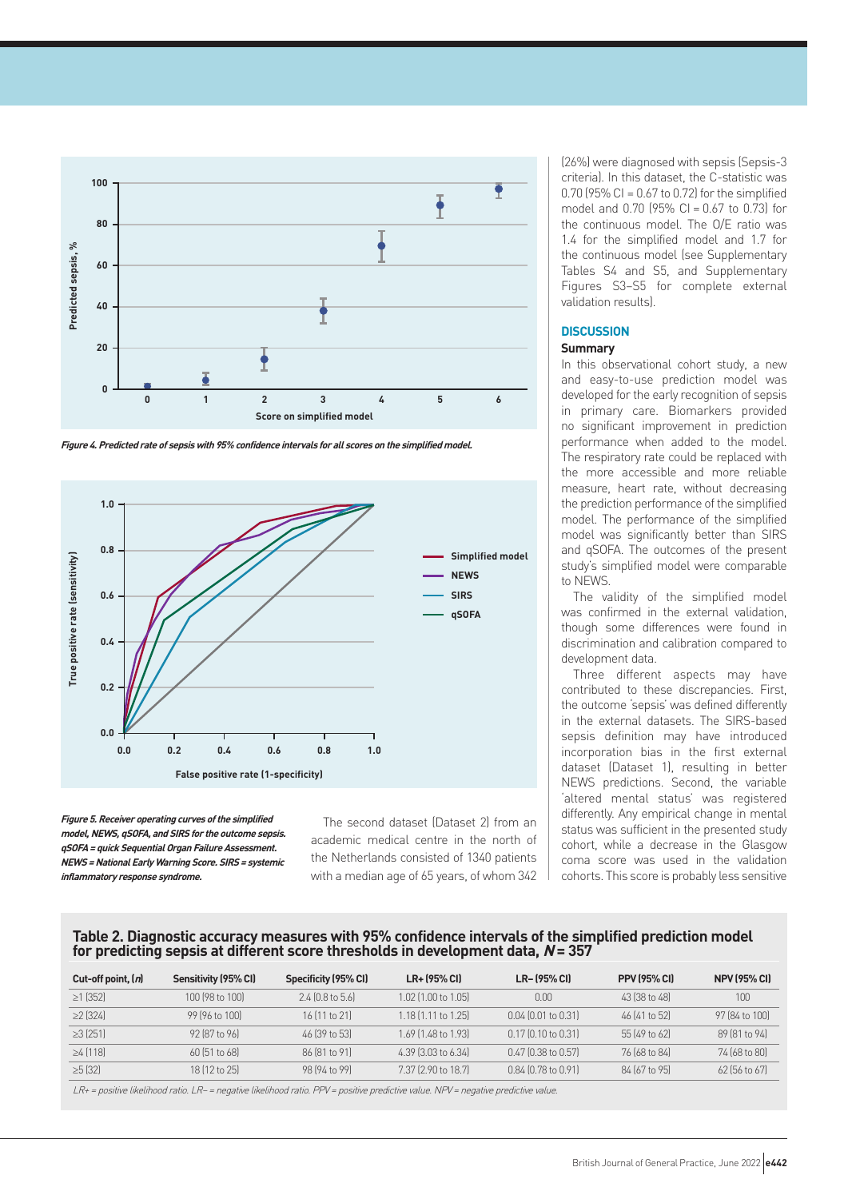

**Figure 4. Predicted rate of sepsis with 95% confidence intervals for all scores on the simplified model.** 



**Figure 5. Receiver operating curves of the simplified model, NEWS, qSOFA, and SIRS for the outcome sepsis. qSOFA = quick Sequential Organ Failure Assessment. NEWS = National Early Warning Score. SIRS = systemic inflammatory response syndrome.**

The second dataset (Dataset 2) from an academic medical centre in the north of the Netherlands consisted of 1340 patients with a median age of 65 years, of whom 342 (26%) were diagnosed with sepsis (Sepsis-3 criteria). In this dataset, the C-statistic was 0.70 (95% CI =  $0.67$  to 0.72) for the simplified model and 0.70 (95% CI = 0.67 to 0.73) for the continuous model. The O/E ratio was 1.4 for the simplified model and 1.7 for the continuous model (see Supplementary Tables S4 and S5, and Supplementary Figures S3–S5 for complete external validation results).

## **DISCUSSION**

# **Summary**

In this observational cohort study, a new and easy-to-use prediction model was developed for the early recognition of sepsis in primary care. Biomarkers provided no significant improvement in prediction performance when added to the model. The respiratory rate could be replaced with the more accessible and more reliable measure, heart rate, without decreasing the prediction performance of the simplified model. The performance of the simplified model was significantly better than SIRS and qSOFA. The outcomes of the present study's simplified model were comparable to NEWS.

The validity of the simplified model was confirmed in the external validation, though some differences were found in discrimination and calibration compared to development data.

Three different aspects may have contributed to these discrepancies. First, the outcome 'sepsis' was defined differently in the external datasets. The SIRS-based sepsis definition may have introduced incorporation bias in the first external dataset (Dataset 1), resulting in better NEWS predictions. Second, the variable 'altered mental status' was registered differently. Any empirical change in mental status was sufficient in the presented study cohort, while a decrease in the Glasgow coma score was used in the validation cohorts. This score is probably less sensitive

## **Table 2. Diagnostic accuracy measures with 95% confidence intervals of the simplified prediction model for predicting sepsis at different score thresholds in development data, N = 357**

| Sensitivity (95% CI) | Specificity (95% CI) | LR+ (95% CI)              | LR-(95% CI)               | <b>PPV (95% CI)</b> | <b>NPV (95% CI)</b> |
|----------------------|----------------------|---------------------------|---------------------------|---------------------|---------------------|
| 100 (98 to 100)      | $2.4$ (0.8 to 5.6)   | 1.02 (1.00 to 1.05)       | 0.00                      | 43 (38 to 48)       | 100                 |
| 99 (96 to 100)       | $16$ (11 to 21)      | $1.18$ $[1.11$ to $1.25]$ | $0.04$ $[0.01$ to $0.31]$ | 46 (41 to 52)       | 97 (84 to 100)      |
| 92 [87 to 96]        | 46 (39 to 53)        | 1.69 (1.48 to 1.93)       | $0.17$ (0.10 to 0.31)     | 55 (49 to 62)       | 89 (81 to 94)       |
| 60 (51 to 68)        | 86 (81 to 91)        | 4.39 (3.03 to 6.34)       | $0.47$ (0.38 to 0.57)     | 76 (68 to 84)       | 74 (68 to 80)       |
| 18 (12 to 25)        | 98 (94 to 99)        | 7.37 (2.90 to 18.7)       | $0.84$ (0.78 to 0.91)     | 84 (67 to 95)       | 62 (56 to 67)       |
|                      |                      |                           |                           |                     |                     |

LR+ <sup>=</sup> positive likelihood ratio. LR– <sup>=</sup> negative likelihood ratio. PPV <sup>=</sup> positive predictive value. NPV <sup>=</sup> negative predictive value.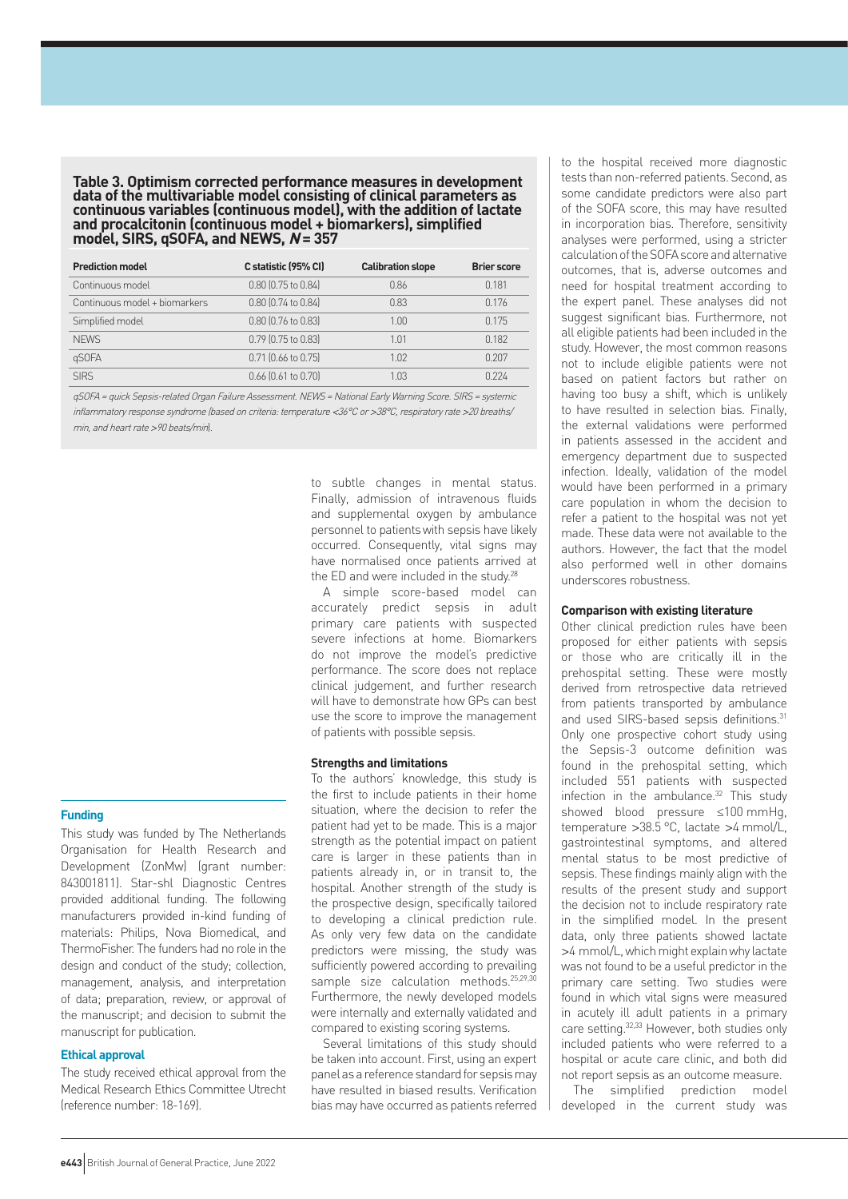**Table 3. Optimism corrected performance measures in development data of the multivariable model consisting of clinical parameters as continuous variables (continuous model), with the addition of lactate and procalcitonin (continuous model + biomarkers), simplified model, SIRS, qSOFA, and NEWS, N = 357**

| <b>Prediction model</b>       | C statistic (95% CI)      | <b>Calibration slope</b> | <b>Brier score</b> |
|-------------------------------|---------------------------|--------------------------|--------------------|
| Continuous model              | 0.80 (0.75 to 0.84)       | 0.86                     | 0.181              |
| Continuous model + biomarkers | 0.80 (0.74 to 0.84)       | 0.83                     | 0.176              |
| Simplified model              | 0.80 (0.76 to 0.83)       | 1.00                     | 0.175              |
| <b>NFWS</b>                   | 0.79 (0.75 to 0.83)       | 1.01                     | 0.182              |
| qSOFA                         | $0.71$ (0.66 to 0.75)     | 1.02                     | 0.207              |
| <b>SIRS</b>                   | $0.66$ $[0.61$ to $0.70]$ | 1.03                     | 0.224              |

qSOFA <sup>=</sup> quick Sepsis-related Organ Failure Assessment. NEWS <sup>=</sup> National Early Warning Score. SIRS <sup>=</sup> systemic inflammatory response syndrome (based on criteria: temperature <36°C or >38°C, respiratory rate >20 breaths/ min, and heart rate >90 beats/min).

# **Funding**

This study was funded by The Netherlands Organisation for Health Research and Development (ZonMw) (grant number: 843001811). Star-shl Diagnostic Centres provided additional funding. The following manufacturers provided in-kind funding of materials: Philips, Nova Biomedical, and ThermoFisher. The funders had no role in the design and conduct of the study; collection, management, analysis, and interpretation of data; preparation, review, or approval of the manuscript; and decision to submit the manuscript for publication.

## **Ethical approval**

The study received ethical approval from the Medical Research Ethics Committee Utrecht (reference number: 18-169).

to subtle changes in mental status. Finally, admission of intravenous fluids and supplemental oxygen by ambulance personnel to patientswith sepsis have likely occurred. Consequently, vital signs may have normalised once patients arrived at the ED and were included in the study.<sup>28</sup>

A simple score-based model can accurately predict sepsis in adult primary care patients with suspected severe infections at home. Biomarkers do not improve the model's predictive performance. The score does not replace clinical judgement, and further research will have to demonstrate how GPs can best use the score to improve the management of patients with possible sepsis.

#### **Strengths and limitations**

To the authors' knowledge, this study is the first to include patients in their home situation, where the decision to refer the patient had yet to be made. This is a major strength as the potential impact on patient care is larger in these patients than in patients already in, or in transit to, the hospital. Another strength of the study is the prospective design, specifically tailored to developing a clinical prediction rule. As only very few data on the candidate predictors were missing, the study was sufficiently powered according to prevailing sample size calculation methods.<sup>25,29,30</sup> Furthermore, the newly developed models were internally and externally validated and compared to existing scoring systems.

Several limitations of this study should be taken into account. First, using an expert panel as a reference standard for sepsis may have resulted in biased results. Verification bias may have occurred as patients referred

to the hospital received more diagnostic tests than non-referred patients. Second, as some candidate predictors were also part of the SOFA score, this may have resulted in incorporation bias. Therefore, sensitivity analyses were performed, using a stricter calculation of the SOFA score and alternative outcomes, that is, adverse outcomes and need for hospital treatment according to the expert panel. These analyses did not suggest significant bias. Furthermore, not all eligible patients had been included in the study. However, the most common reasons not to include eligible patients were not based on patient factors but rather on having too busy a shift, which is unlikely to have resulted in selection bias. Finally, the external validations were performed in patients assessed in the accident and emergency department due to suspected infection. Ideally, validation of the model would have been performed in a primary care population in whom the decision to refer a patient to the hospital was not yet made. These data were not available to the authors. However, the fact that the model also performed well in other domains underscores robustness.

#### **Comparison with existing literature**

Other clinical prediction rules have been proposed for either patients with sepsis or those who are critically ill in the prehospital setting. These were mostly derived from retrospective data retrieved from patients transported by ambulance and used SIRS-based sepsis definitions.<sup>31</sup> Only one prospective cohort study using the Sepsis-3 outcome definition was found in the prehospital setting, which included 551 patients with suspected infection in the ambulance.<sup>32</sup> This study showed blood pressure ≤100 mmHg, temperature >38.5 °C, lactate >4 mmol/L, gastrointestinal symptoms, and altered mental status to be most predictive of sepsis. These findings mainly align with the results of the present study and support the decision not to include respiratory rate in the simplified model. In the present data, only three patients showed lactate >4 mmol/L, which might explain why lactate was not found to be a useful predictor in the primary care setting. Two studies were found in which vital signs were measured in acutely ill adult patients in a primary care setting.32,33 However, both studies only included patients who were referred to a hospital or acute care clinic, and both did not report sepsis as an outcome measure.

The simplified prediction model developed in the current study was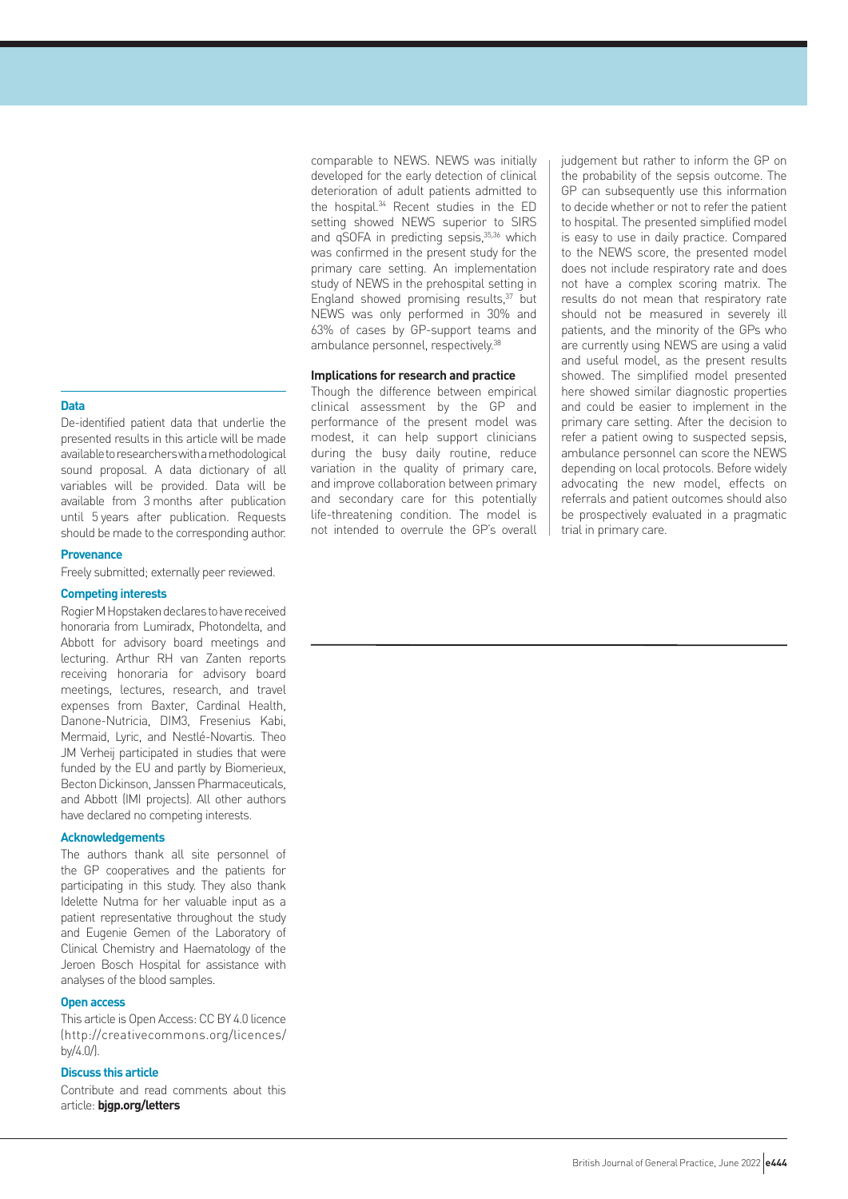**Data**

De-identified patient data that underlie the presented results in this article will be made available to researchers with a methodological sound proposal. A data dictionary of all variables will be provided. Data will be available from 3 months after publication until 5 years after publication. Requests should be made to the corresponding author.

#### **Provenance**

Freely submitted; externally peer reviewed.

#### **Competing interests**

Rogier M Hopstaken declares to have received honoraria from Lumiradx, Photondelta, and Abbott for advisory board meetings and lecturing. Arthur RH van Zanten reports receiving honoraria for advisory board meetings, lectures, research, and travel expenses from Baxter, Cardinal Health, Danone-Nutricia, DIM3, Fresenius Kabi, Mermaid, Lyric, and Nestlé-Novartis. Theo JM Verheij participated in studies that were funded by the EU and partly by Biomerieux, Becton Dickinson, Janssen Pharmaceuticals, and Abbott (IMI projects). All other authors have declared no competing interests.

#### **Acknowledgements**

The authors thank all site personnel of the GP cooperatives and the patients for participating in this study. They also thank Idelette Nutma for her valuable input as a patient representative throughout the study and Eugenie Gemen of the Laboratory of Clinical Chemistry and Haematology of the Jeroen Bosch Hospital for assistance with analyses of the blood samples.

#### **Open access**

This article is Open Access: CC BY 4.0 licence [\(http://creativecommons.org/licences/](http://creativecommons.org/licences/by/4.0/) [by/4.0/\)](http://creativecommons.org/licences/by/4.0/).

## **Discuss this article**

Contribute and read comments about this article: **[bjgp.org/letters](http://bjgp.org/letters)**

comparable to NEWS. NEWS was initially developed for the early detection of clinical deterioration of adult patients admitted to the hospital.34 Recent studies in the ED setting showed NEWS superior to SIRS and qSOFA in predicting sepsis,<sup>35,36</sup> which was confirmed in the present study for the primary care setting. An implementation study of NEWS in the prehospital setting in England showed promising results, $37$  but NEWS was only performed in 30% and 63% of cases by GP-support teams and ambulance personnel, respectively.<sup>38</sup>

## **Implications for research and practice**

Though the difference between empirical clinical assessment by the GP and performance of the present model was modest, it can help support clinicians during the busy daily routine, reduce variation in the quality of primary care, and improve collaboration between primary and secondary care for this potentially life-threatening condition. The model is not intended to overrule the GP's overall

judgement but rather to inform the GP on the probability of the sepsis outcome. The GP can subsequently use this information to decide whether or not to refer the patient to hospital. The presented simplified model is easy to use in daily practice. Compared to the NEWS score, the presented model does not include respiratory rate and does not have a complex scoring matrix. The results do not mean that respiratory rate should not be measured in severely ill patients, and the minority of the GPs who are currently using NEWS are using a valid and useful model, as the present results showed. The simplified model presented here showed similar diagnostic properties and could be easier to implement in the primary care setting. After the decision to refer a patient owing to suspected sepsis, ambulance personnel can score the NEWS depending on local protocols. Before widely advocating the new model, effects on referrals and patient outcomes should also be prospectively evaluated in a pragmatic trial in primary care.